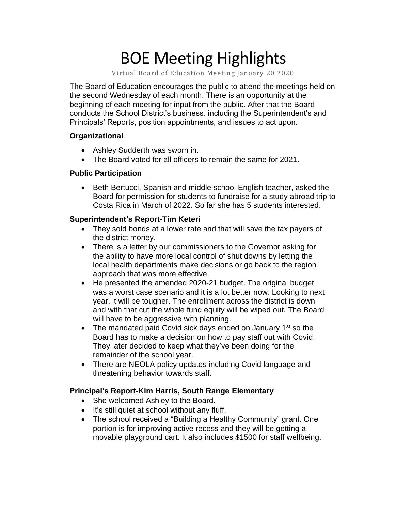# BOE Meeting Highlights

Virtual Board of Education Meeting January 20 2020

 The Board of Education encourages the public to attend the meetings held on the second Wednesday of each month. There is an opportunity at the beginning of each meeting for input from the public. After that the Board conducts the School District's business, including the Superintendent's and Principals' Reports, position appointments, and issues to act upon.

### **Organizational**

- Ashley Sudderth was sworn in.
- The Board voted for all officers to remain the same for 2021.

### **Public Participation**

 • Beth Bertucci, Spanish and middle school English teacher, asked the Board for permission for students to fundraise for a study abroad trip to Costa Rica in March of 2022. So far she has 5 students interested.

## **Superintendent's Report-Tim Keteri**

- They sold bonds at a lower rate and that will save the tax payers of the district money.
- There is a letter by our commissioners to the Governor asking for the ability to have more local control of shut downs by letting the local health departments make decisions or go back to the region approach that was more effective.
- He presented the amended 2020-21 budget. The original budget was a worst case scenario and it is a lot better now. Looking to next year, it will be tougher. The enrollment across the district is down and with that cut the whole fund equity will be wiped out. The Board will have to be aggressive with planning.
- The mandated paid Covid sick days ended on January  $1<sup>st</sup>$  so the Board has to make a decision on how to pay staff out with Covid. They later decided to keep what they've been doing for the remainder of the school year.
- There are NEOLA policy updates including Covid language and threatening behavior towards staff.

## **Principal's Report-Kim Harris, South Range Elementary**

- She welcomed Ashley to the Board.
- It's still quiet at school without any fluff.
- • The school received a "Building a Healthy Community" grant. One portion is for improving active recess and they will be getting a movable playground cart. It also includes \$1500 for staff wellbeing.